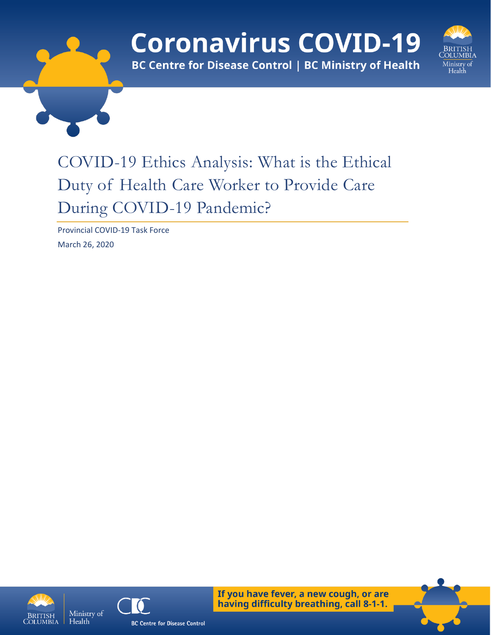# **Coronavirus COVID-19**



**BC Centre for Disease Control | BC Ministry of Health** 

## COVID-19 Ethics Analysis: What is the Ethical Duty of Health Care Worker to Provide Care During COVID-19 Pandemic?

Provincial COVID-19 Task Force March 26, 2020





If you have fever, a new cough, or are having difficulty breathing, call 8-1-1.

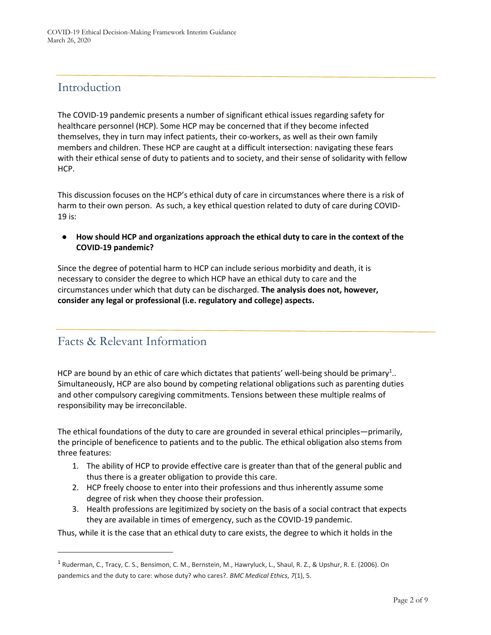## Introduction

The COVID-19 pandemic presents a number of significant ethical issues regarding safety for healthcare personnel (HCP). Some HCP may be concerned that if they become infected themselves, they in turn may infect patients, their co-workers, as well as their own family members and children. These HCP are caught at a difficult intersection: navigating these fears with their ethical sense of duty to patients and to society, and their sense of solidarity with fellow HCP.

This discussion focuses on the HCP's ethical duty of care in circumstances where there is a risk of harm to their own person. As such, a key ethical question related to duty of care during COVID-19 is:

● **How should HCP and organizations approach the ethical duty to care in the context of the COVID-19 pandemic?**

Since the degree of potential harm to HCP can include serious morbidity and death, it is necessary to consider the degree to which HCP have an ethical duty to care and the circumstances under which that duty can be discharged. **The analysis does not, however, consider any legal or professional (i.e. regulatory and college) aspects.**

## Facts & Relevant Information

 $\overline{a}$ 

HCP are bound by an ethic of care which dictates that patients' well-being should be primary<sup>1</sup>.. Simultaneously, HCP are also bound by competing relational obligations such as parenting duties and other compulsory caregiving commitments. Tensions between these multiple realms of responsibility may be irreconcilable.

The ethical foundations of the duty to care are grounded in several ethical principles—primarily, the principle of beneficence to patients and to the public. The ethical obligation also stems from three features:

- 1. The ability of HCP to provide effective care is greater than that of the general public and thus there is a greater obligation to provide this care.
- 2. HCP freely choose to enter into their professions and thus inherently assume some degree of risk when they choose their profession.
- 3. Health professions are legitimized by society on the basis of a social contract that expects they are available in times of emergency, such as the COVID-19 pandemic.

Thus, while it is the case that an ethical duty to care exists, the degree to which it holds in the

<sup>&</sup>lt;sup>1</sup> Ruderman, C., Tracy, C. S., Bensimon, C. M., Bernstein, M., Hawryluck, L., Shaul, R. Z., & Upshur, R. E. (2006). On pandemics and the duty to care: whose duty? who cares?. *BMC Medical Ethics*, *7*(1), 5.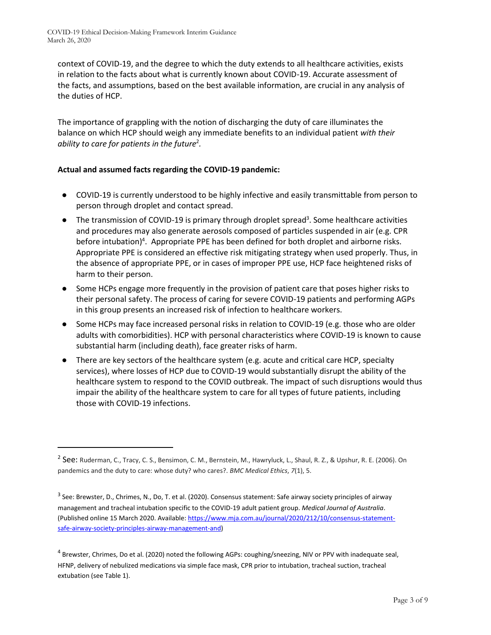$\overline{\phantom{a}}$ 

context of COVID-19, and the degree to which the duty extends to all healthcare activities, exists in relation to the facts about what is currently known about COVID-19. Accurate assessment of the facts, and assumptions, based on the best available information, are crucial in any analysis of the duties of HCP.

The importance of grappling with the notion of discharging the duty of care illuminates the balance on which HCP should weigh any immediate benefits to an individual patient *with their ability to care for patients in the future*<sup>2</sup> *.* 

#### **Actual and assumed facts regarding the COVID-19 pandemic:**

- COVID-19 is currently understood to be highly infective and easily transmittable from person to person through droplet and contact spread.
- The transmission of COVID-19 is primary through droplet spread<sup>3</sup>. Some healthcare activities and procedures may also generate aerosols composed of particles suspended in air (e.g. CPR before intubation)<sup>4</sup>. Appropriate PPE has been defined for both droplet and airborne risks. Appropriate PPE is considered an effective risk mitigating strategy when used properly. Thus, in the absence of appropriate PPE, or in cases of improper PPE use, HCP face heightened risks of harm to their person.
- Some HCPs engage more frequently in the provision of patient care that poses higher risks to their personal safety. The process of caring for severe COVID-19 patients and performing AGPs in this group presents an increased risk of infection to healthcare workers.
- Some HCPs may face increased personal risks in relation to COVID-19 (e.g. those who are older adults with comorbidities). HCP with personal characteristics where COVID-19 is known to cause substantial harm (including death), face greater risks of harm.
- There are key sectors of the healthcare system (e.g. acute and critical care HCP, specialty services), where losses of HCP due to COVID-19 would substantially disrupt the ability of the healthcare system to respond to the COVID outbreak. The impact of such disruptions would thus impair the ability of the healthcare system to care for all types of future patients, including those with COVID-19 infections.

<sup>4</sup> Brewster, Chrimes, Do et al. (2020) noted the following AGPs: coughing/sneezing, NIV or PPV with inadequate seal, HFNP, delivery of nebulized medications via simple face mask, CPR prior to intubation, tracheal suction, tracheal extubation (see Table 1).

<sup>&</sup>lt;sup>2</sup> See: Ruderman, C., Tracy, C. S., Bensimon, C. M., Bernstein, M., Hawryluck, L., Shaul, R. Z., & Upshur, R. E. (2006). On pandemics and the duty to care: whose duty? who cares?. *BMC Medical Ethics*, *7*(1), 5.

<sup>&</sup>lt;sup>3</sup> See: Brewster, D., Chrimes, N., Do, T. et al. (2020). Consensus statement: Safe airway society principles of airway management and tracheal intubation specific to the COVID-19 adult patient group. *Medical Journal of Australia*. (Published online 15 March 2020. Available[: https://www.mja.com.au/journal/2020/212/10/consensus-statement](https://www.mja.com.au/journal/2020/212/10/consensus-statement-safe-airway-society-principles-airway-management-and)[safe-airway-society-principles-airway-management-and\)](https://www.mja.com.au/journal/2020/212/10/consensus-statement-safe-airway-society-principles-airway-management-and)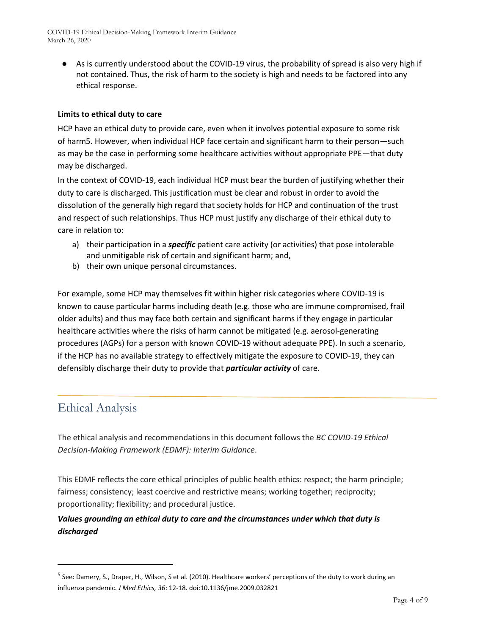COVID-19 Ethical Decision-Making Framework Interim Guidance March 26, 2020

● As is currently understood about the COVID-19 virus, the probability of spread is also very high if not contained. Thus, the risk of harm to the society is high and needs to be factored into any ethical response.

#### **Limits to ethical duty to care**

HCP have an ethical duty to provide care, even when it involves potential exposure to some risk of harm5. However, when individual HCP face certain and significant harm to their person—such as may be the case in performing some healthcare activities without appropriate PPE—that duty may be discharged.

In the context of COVID-19, each individual HCP must bear the burden of justifying whether their duty to care is discharged. This justification must be clear and robust in order to avoid the dissolution of the generally high regard that society holds for HCP and continuation of the trust and respect of such relationships. Thus HCP must justify any discharge of their ethical duty to care in relation to:

- a) their participation in a *specific* patient care activity (or activities) that pose intolerable and unmitigable risk of certain and significant harm; and,
- b) their own unique personal circumstances.

For example, some HCP may themselves fit within higher risk categories where COVID-19 is known to cause particular harms including death (e.g. those who are immune compromised, frail older adults) and thus may face both certain and significant harms if they engage in particular healthcare activities where the risks of harm cannot be mitigated (e.g. aerosol-generating procedures (AGPs) for a person with known COVID-19 without adequate PPE). In such a scenario, if the HCP has no available strategy to effectively mitigate the exposure to COVID-19, they can defensibly discharge their duty to provide that *particular activity* of care.

## Ethical Analysis

 $\overline{a}$ 

The ethical analysis and recommendations in this document follows the *BC COVID-19 Ethical Decision-Making Framework (EDMF): Interim Guidance*.

This EDMF reflects the core ethical principles of public health ethics: respect; the harm principle; fairness; consistency; least coercive and restrictive means; working together; reciprocity; proportionality; flexibility; and procedural justice.

#### *Values grounding an ethical duty to care and the circumstances under which that duty is discharged*

<sup>&</sup>lt;sup>5</sup> See: Damery, S., Draper, H., Wilson, S et al. (2010). Healthcare workers' perceptions of the duty to work during an influenza pandemic. *J Med Ethics, 36*: 12-18. doi:10.1136/jme.2009.032821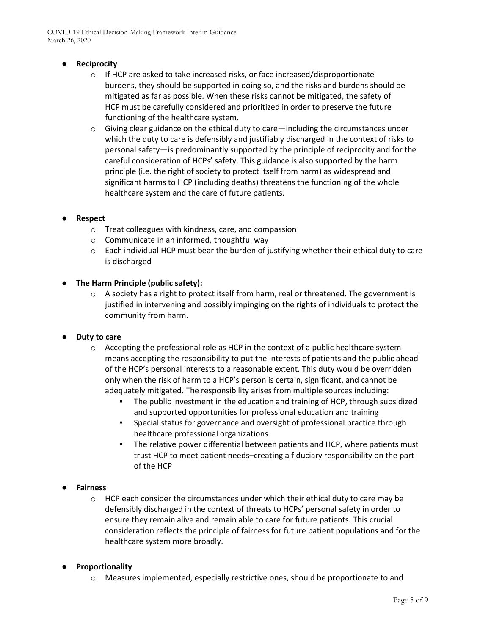COVID-19 Ethical Decision-Making Framework Interim Guidance March 26, 2020

- **Reciprocity**
	- o If HCP are asked to take increased risks, or face increased/disproportionate burdens, they should be supported in doing so, and the risks and burdens should be mitigated as far as possible. When these risks cannot be mitigated, the safety of HCP must be carefully considered and prioritized in order to preserve the future functioning of the healthcare system.
	- $\circ$  Giving clear guidance on the ethical duty to care—including the circumstances under which the duty to care is defensibly and justifiably discharged in the context of risks to personal safety—is predominantly supported by the principle of reciprocity and for the careful consideration of HCPs' safety. This guidance is also supported by the harm principle (i.e. the right of society to protect itself from harm) as widespread and significant harms to HCP (including deaths) threatens the functioning of the whole healthcare system and the care of future patients.
- **Respect**
	- o Treat colleagues with kindness, care, and compassion
	- $\circ$  Communicate in an informed, thoughtful way
	- $\circ$  Each individual HCP must bear the burden of justifying whether their ethical duty to care is discharged
- **The Harm Principle (public safety):**
	- $\circ$  A society has a right to protect itself from harm, real or threatened. The government is justified in intervening and possibly impinging on the rights of individuals to protect the community from harm.
- **Duty to care** 
	- $\circ$  Accepting the professional role as HCP in the context of a public healthcare system means accepting the responsibility to put the interests of patients and the public ahead of the HCP's personal interests to a reasonable extent. This duty would be overridden only when the risk of harm to a HCP's person is certain, significant, and cannot be adequately mitigated. The responsibility arises from multiple sources including:
		- The public investment in the education and training of HCP, through subsidized and supported opportunities for professional education and training
		- Special status for governance and oversight of professional practice through healthcare professional organizations
		- The relative power differential between patients and HCP, where patients must trust HCP to meet patient needs–creating a fiduciary responsibility on the part of the HCP
- **Fairness** 
	- $\circ$  HCP each consider the circumstances under which their ethical duty to care may be defensibly discharged in the context of threats to HCPs' personal safety in order to ensure they remain alive and remain able to care for future patients. This crucial consideration reflects the principle of fairness for future patient populations and for the healthcare system more broadly.
- **Proportionality**
	- o Measures implemented, especially restrictive ones, should be proportionate to and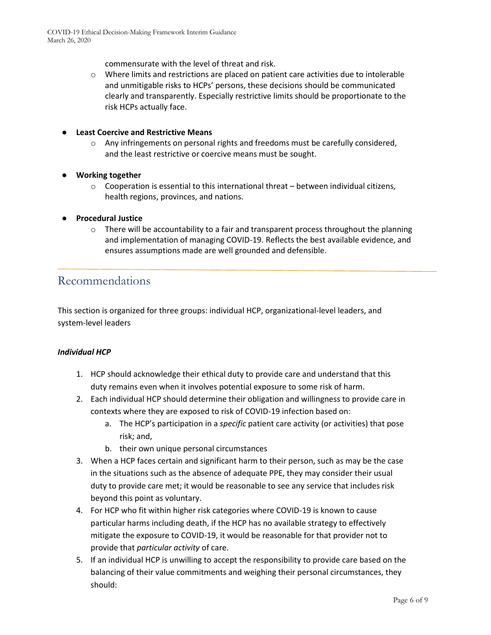commensurate with the level of threat and risk.

o Where limits and restrictions are placed on patient care activities due to intolerable and unmitigable risks to HCPs' persons, these decisions should be communicated clearly and transparently. Especially restrictive limits should be proportionate to the risk HCPs actually face.

#### ● **Least Coercive and Restrictive Means**

- o Any infringements on personal rights and freedoms must be carefully considered, and the least restrictive or coercive means must be sought.
- **Working together**
	- $\circ$  Cooperation is essential to this international threat between individual citizens, health regions, provinces, and nations.
- **Procedural Justice**
	- $\circ$  There will be accountability to a fair and transparent process throughout the planning and implementation of managing COVID-19. Reflects the best available evidence, and ensures assumptions made are well grounded and defensible.

### Recommendations

This section is organized for three groups: individual HCP, organizational-level leaders, and system-level leaders

#### *Individual HCP*

- 1. HCP should acknowledge their ethical duty to provide care and understand that this duty remains even when it involves potential exposure to some risk of harm.
- 2. Each individual HCP should determine their obligation and willingness to provide care in contexts where they are exposed to risk of COVID-19 infection based on:
	- a. The HCP's participation in a *specific* patient care activity (or activities) that pose risk; and,
	- b. their own unique personal circumstances
- 3. When a HCP faces certain and significant harm to their person, such as may be the case in the situations such as the absence of adequate PPE, they may consider their usual duty to provide care met; it would be reasonable to see any service that includes risk beyond this point as voluntary.
- 4. For HCP who fit within higher risk categories where COVID-19 is known to cause particular harms including death, if the HCP has no available strategy to effectively mitigate the exposure to COVID-19, it would be reasonable for that provider not to provide that *particular activity* of care.
- 5. If an individual HCP is unwilling to accept the responsibility to provide care based on the balancing of their value commitments and weighing their personal circumstances, they should: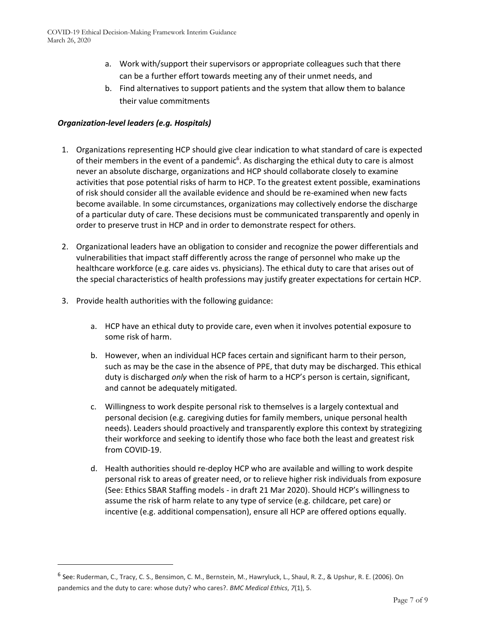- a. Work with/support their supervisors or appropriate colleagues such that there can be a further effort towards meeting any of their unmet needs, and
- b. Find alternatives to support patients and the system that allow them to balance their value commitments

#### *Organization-level leaders (e.g. Hospitals)*

- 1. Organizations representing HCP should give clear indication to what standard of care is expected of their members in the event of a pandemic<sup>6</sup>. As discharging the ethical duty to care is almost never an absolute discharge, organizations and HCP should collaborate closely to examine activities that pose potential risks of harm to HCP. To the greatest extent possible, examinations of risk should consider all the available evidence and should be re-examined when new facts become available. In some circumstances, organizations may collectively endorse the discharge of a particular duty of care. These decisions must be communicated transparently and openly in order to preserve trust in HCP and in order to demonstrate respect for others.
- 2. Organizational leaders have an obligation to consider and recognize the power differentials and vulnerabilities that impact staff differently across the range of personnel who make up the healthcare workforce (e.g. care aides vs. physicians). The ethical duty to care that arises out of the special characteristics of health professions may justify greater expectations for certain HCP.
- 3. Provide health authorities with the following guidance:

 $\overline{a}$ 

- a. HCP have an ethical duty to provide care, even when it involves potential exposure to some risk of harm.
- b. However, when an individual HCP faces certain and significant harm to their person, such as may be the case in the absence of PPE, that duty may be discharged. This ethical duty is discharged *only* when the risk of harm to a HCP's person is certain, significant, and cannot be adequately mitigated.
- c. Willingness to work despite personal risk to themselves is a largely contextual and personal decision (e.g. caregiving duties for family members, unique personal health needs). Leaders should proactively and transparently explore this context by strategizing their workforce and seeking to identify those who face both the least and greatest risk from COVID-19.
- d. Health authorities should re-deploy HCP who are available and willing to work despite personal risk to areas of greater need, or to relieve higher risk individuals from exposure (See: Ethics SBAR Staffing models - in draft 21 Mar 2020). Should HCP's willingness to assume the risk of harm relate to any type of service (e.g. childcare, pet care) or incentive (e.g. additional compensation), ensure all HCP are offered options equally.

<sup>&</sup>lt;sup>6</sup> See: Ruderman, C., Tracy, C. S., Bensimon, C. M., Bernstein, M., Hawryluck, L., Shaul, R. Z., & Upshur, R. E. (2006). On pandemics and the duty to care: whose duty? who cares?. *BMC Medical Ethics*, *7*(1), 5.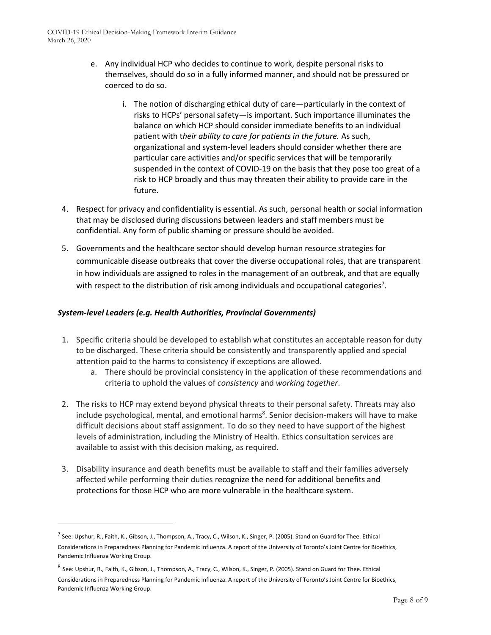- e. Any individual HCP who decides to continue to work, despite personal risks to themselves, should do so in a fully informed manner, and should not be pressured or coerced to do so.
	- i. The notion of discharging ethical duty of care—particularly in the context of risks to HCPs' personal safety—is important. Such importance illuminates the balance on which HCP should consider immediate benefits to an individual patient with t*heir ability to care for patients in the future.* As such, organizational and system-level leaders should consider whether there are particular care activities and/or specific services that will be temporarily suspended in the context of COVID-19 on the basis that they pose too great of a risk to HCP broadly and thus may threaten their ability to provide care in the future.
- 4. Respect for privacy and confidentiality is essential. As such, personal health or social information that may be disclosed during discussions between leaders and staff members must be confidential. Any form of public shaming or pressure should be avoided.
- 5. Governments and the healthcare sector should develop human resource strategies for communicable disease outbreaks that cover the diverse occupational roles, that are transparent in how individuals are assigned to roles in the management of an outbreak, and that are equally with respect to the distribution of risk among individuals and occupational categories<sup>7</sup>.

#### *System-level Leaders (e.g. Health Authorities, Provincial Governments)*

l

- 1. Specific criteria should be developed to establish what constitutes an acceptable reason for duty to be discharged. These criteria should be consistently and transparently applied and special attention paid to the harms to consistency if exceptions are allowed.
	- a. There should be provincial consistency in the application of these recommendations and criteria to uphold the values of *consistency* and *working together*.
- 2. The risks to HCP may extend beyond physical threats to their personal safety. Threats may also include psychological, mental, and emotional harms<sup>8</sup>. Senior decision-makers will have to make difficult decisions about staff assignment. To do so they need to have support of the highest levels of administration, including the Ministry of Health. Ethics consultation services are available to assist with this decision making, as required.
- 3. Disability insurance and death benefits must be available to staff and their families adversely affected while performing their duties recognize the need for additional benefits and protections for those HCP who are more vulnerable in the healthcare system.

<sup>&</sup>lt;sup>7</sup> See: Upshur, R., Faith, K., Gibson, J., Thompson, A., Tracy, C., Wilson, K., Singer, P. (2005). Stand on Guard for Thee. Ethical Considerations in Preparedness Planning for Pandemic Influenza. A report of the University of Toronto's Joint Centre for Bioethics, Pandemic Influenza Working Group.

<sup>&</sup>lt;sup>8</sup> See: Upshur, R., Faith, K., Gibson, J., Thompson, A., Tracy, C., Wilson, K., Singer, P. (2005). Stand on Guard for Thee. Ethical Considerations in Preparedness Planning for Pandemic Influenza. A report of the University of Toronto's Joint Centre for Bioethics, Pandemic Influenza Working Group.